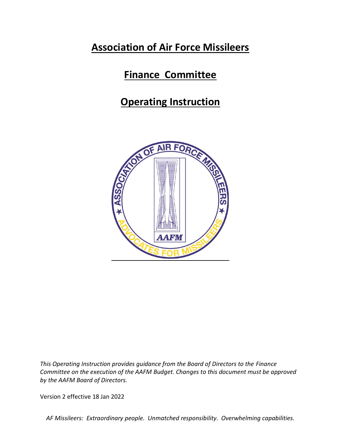## **Association of Air Force Missileers**

## **Finance Committee**

# **Operating Instruction**



*This Operating Instruction provides guidance from the Board of Directors to the Finance Committee on the execution of the AAFM Budget. Changes to this document must be approved by the AAFM Board of Directors.*

Version 2 effective 18 Jan 2022

*AF Missileers: Extraordinary people. Unmatched responsibility. Overwhelming capabilities.*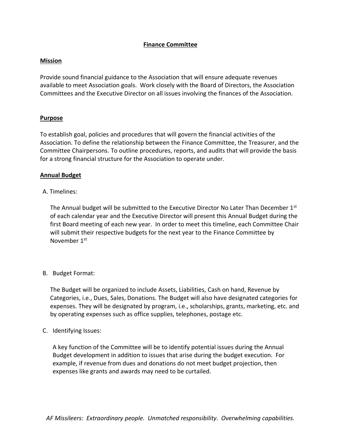## **Finance Committee**

### **Mission**

Provide sound financial guidance to the Association that will ensure adequate revenues available to meet Association goals. Work closely with the Board of Directors, the Association Committees and the Executive Director on all issues involving the finances of the Association.

### **Purpose**

To establish goal, policies and procedures that will govern the financial activities of the Association. To define the relationship between the Finance Committee, the Treasurer, and the Committee Chairpersons. To outline procedures, reports, and audits that will provide the basis for a strong financial structure for the Association to operate under.

#### **Annual Budget**

### A. Timelines:

The Annual budget will be submitted to the Executive Director No Later Than December  $1<sup>st</sup>$ of each calendar year and the Executive Director will present this Annual Budget during the first Board meeting of each new year. In order to meet this timeline, each Committee Chair will submit their respective budgets for the next year to the Finance Committee by November 1st

### B. Budget Format:

The Budget will be organized to include Assets, Liabilities, Cash on hand, Revenue by Categories, i.e., Dues, Sales, Donations. The Budget will also have designated categories for expenses. They will be designated by program, i.e., scholarships, grants, marketing, etc. and by operating expenses such as office supplies, telephones, postage etc.

### C. Identifying Issues:

A key function of the Committee will be to identify potential issues during the Annual Budget development in addition to issues that arise during the budget execution. For example, if revenue from dues and donations do not meet budget projection, then expenses like grants and awards may need to be curtailed.